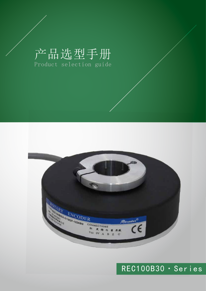# 产品选型手册 Product selection guide



## REC100B30·Series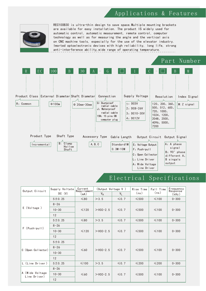#### Applications & Features



REC100B30 is ultra-thin design to save space.Multiple mounting brackets are available for easy installation. The product IS widely used for automatic control, automatic measurement, remote control, computer technology as well as for measuring the angle and the vertical axis on CNC machine tools, especially for the use of the elevator industry. Imorted optoelectronic devices with high reliability, long life, strong anti-interference ability, wide range of operating temperature.



#### Electrical Specifications

| Output Circuit                  | Supply Voltate | Current<br>Requirement | (Output Voltage V) |            | Rise Time<br>(ns) | Fall Time<br>(ns) | Erequency<br>Response <sup>1</sup> |  |
|---------------------------------|----------------|------------------------|--------------------|------------|-------------------|-------------------|------------------------------------|--|
|                                 | DC (V)         | (mA)                   | $V_{H}$            | $V_{1}$    |                   |                   | (kHz)                              |  |
|                                 | 5 ± 0.25       | $≤80$                  | >3.5               | $\leq 0.7$ | $\leq 500$        | $\leq 100$        | $0 - 300$                          |  |
|                                 | $8 - 26$       |                        | $>$ VCC-2.5        | $\leq 0.7$ | $\leq 500$        | $\leq 100$        | $0 - 300$                          |  |
| E (Voltage)                     | $10 - 30$      | $\leq 120$             |                    |            |                   |                   |                                    |  |
|                                 | 12             |                        |                    |            |                   |                   |                                    |  |
|                                 | 5 ± 0.25       | $≤80$                  | >3.5               | $\leq 0.7$ | $\leq 500$        | $\leq 100$        | $0 - 300$                          |  |
| $F$ (Push-pull)                 | $8 - 26$       |                        | $>$ VCC-2.5        | $\leq 0.7$ | $\leq 500$        | $\leq 100$        | $0 - 300$                          |  |
|                                 | $10 - 30$      | $\leq 120$             |                    |            |                   |                   |                                    |  |
|                                 | 12             |                        |                    |            |                   |                   |                                    |  |
|                                 | 5 ± 0.25       |                        | $>$ VCC-2.5        | $\leq 0.7$ | $\leq 500$        | $\leq 100$        | $0 - 300$                          |  |
| C (Open Collector)              | $8 - 26$       | $\leq 60$              |                    |            |                   |                   |                                    |  |
|                                 | $10 - 30$      |                        |                    |            |                   |                   |                                    |  |
|                                 | 12             |                        |                    |            |                   |                   |                                    |  |
| L (Line Driver)                 | 5 ± 0.25       | $\leq 100$             | >3.5               | $\leq 0.7$ | $\leq$ 200        | $\leq$ 200        | $0 - 300$                          |  |
| A (Wide Voltage<br>Line Driver) | $8 - 26$       |                        | $>$ VCC-2.5        | $\leq 0.7$ | $\leq 500$        | $\leq$ 100        | $0 - 300$                          |  |
|                                 | $10 - 30$      | $\leq 60$              |                    |            |                   |                   |                                    |  |
|                                 | 12             |                        |                    |            |                   |                   |                                    |  |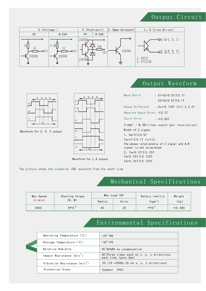#### Output Circuit <u>2</u><br>2009 - Paul Barnett, politik eta alderdizionen eta alderdizionen eta alderdizionen eta alderdizionen eta alde<br>2009 - Paul Barnett, politik eta alderdizionen eta alderdizionen eta alderdizionen eta alderdizionen eta ald Output Circuit

OUT

51

5V 5-26V 5-26V



#### Output Waveform



Waveform for C, E, F output



Waveform for L, A output

| Wave Ratio                         | : $X1+X2=0.5T \pm 0.1T$                          |
|------------------------------------|--------------------------------------------------|
|                                    | $X2+X3=0.5T \pm 0.1T$                            |
|                                    | Phase Different : $Xn \ge 0.125T$ (n=1, 2, 3, 4) |
| Absolute Angle Error: $\leq 0.2$ T |                                                  |
| Cycle Error                        | $: \leq 0.05$ T                                  |
|                                    | $T=360° / N (N=1$ ines count per revolution)     |
| Width of Z signal                  |                                                  |
| 1, $Tm = 1T \pm 0.5T$              |                                                  |
| $Tm=nT \pm 0.1T$ (n $\geq 2$ )     |                                                  |
| signal is not stipulated.          | The phase relationship of Z signal and A, B      |
| 2, $Tm=0.5T \pm 0.25T$             |                                                  |
| Tm=0.25T $\pm$ 0.125T              |                                                  |
|                                    |                                                  |
| Tm=0.25T $\pm$ 0.125T              |                                                  |

The picture shows the clockwise (CW) waveform from the shaft side.

## Mechanical Specifications

| Max Speed<br>$(r/\mathsf{min})$ | Starting Torque |        | $Max$ Load $(N)$ | Rotary Inertia | Weight          |  |
|---------------------------------|-----------------|--------|------------------|----------------|-----------------|--|
|                                 | $M$ )<br>$'N$ . | Radial | Axial            | $(kgm^2)$      | (kg)            |  |
| 4000                            | $5*10^{-2}$     | 40     | 20               | $1*10^{-5}$    | $\approx$ 0.585 |  |

### Environmental Specifications

| Operating Temperature (°C)     | $-20^{\circ}$ +85                                                   |
|--------------------------------|---------------------------------------------------------------------|
| Storage Temperature (°C)       | $-30^{\circ}+95$                                                    |
| Relative Humidity              | 35 <sup>"85%RH</sup> no condensation                                |
| Impact Resistance $(m/s^2)$    | 40 (Three times each on x, y, z directions,<br>each time lasts 6ms) |
| Vibration Resistance $(m/s^2)$ | 20 $(10 \sim 200$ Hz, 2h on x, y, z directions)                     |
| Protection Class               | 1P52<br>Common                                                      |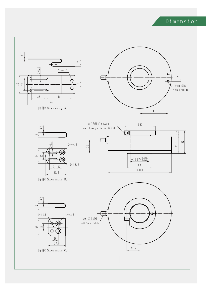## Dimension